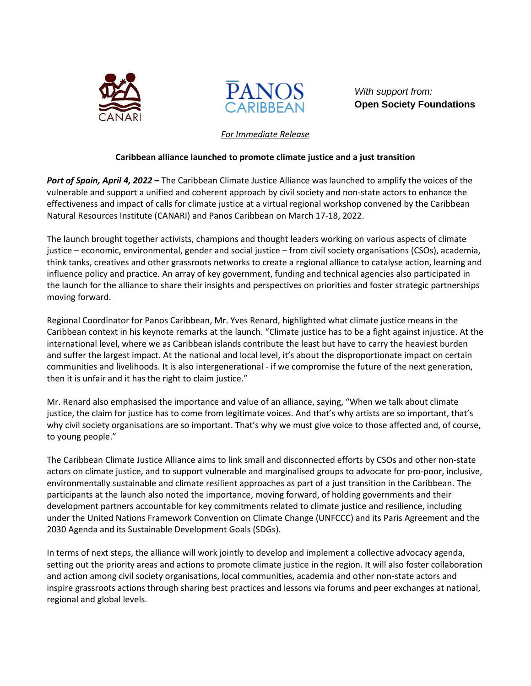



*With support from:* **Open Society Foundations**

## *For Immediate Release*

## **Caribbean alliance launched to promote climate justice and a just transition**

*Port of Spain, April 4, 2022 –* The Caribbean Climate Justice Alliance was launched to amplify the voices of the vulnerable and support a unified and coherent approach by civil society and non-state actors to enhance the effectiveness and impact of calls for climate justice at a virtual regional workshop convened by the Caribbean Natural Resources Institute (CANARI) and Panos Caribbean on March 17-18, 2022.

The launch brought together activists, champions and thought leaders working on various aspects of climate justice – economic, environmental, gender and social justice – from civil society organisations (CSOs), academia, think tanks, creatives and other grassroots networks to create a regional alliance to catalyse action, learning and influence policy and practice. An array of key government, funding and technical agencies also participated in the launch for the alliance to share their insights and perspectives on priorities and foster strategic partnerships moving forward.

Regional Coordinator for Panos Caribbean, Mr. Yves Renard, highlighted what climate justice means in the Caribbean context in his keynote remarks at the launch. "Climate justice has to be a fight against injustice. At the international level, where we as Caribbean islands contribute the least but have to carry the heaviest burden and suffer the largest impact. At the national and local level, it's about the disproportionate impact on certain communities and livelihoods. It is also intergenerational - if we compromise the future of the next generation, then it is unfair and it has the right to claim justice."

Mr. Renard also emphasised the importance and value of an alliance, saying, "When we talk about climate justice, the claim for justice has to come from legitimate voices. And that's why artists are so important, that's why civil society organisations are so important. That's why we must give voice to those affected and, of course, to young people."

The Caribbean Climate Justice Alliance aims to link small and disconnected efforts by CSOs and other non-state actors on climate justice, and to support vulnerable and marginalised groups to advocate for pro-poor, inclusive, environmentally sustainable and climate resilient approaches as part of a just transition in the Caribbean. The participants at the launch also noted the importance, moving forward, of holding governments and their development partners accountable for key commitments related to climate justice and resilience, including under the United Nations Framework Convention on Climate Change (UNFCCC) and its Paris Agreement and the 2030 Agenda and its Sustainable Development Goals (SDGs).

In terms of next steps, the alliance will work jointly to develop and implement a collective advocacy agenda, setting out the priority areas and actions to promote climate justice in the region. It will also foster collaboration and action among civil society organisations, local communities, academia and other non-state actors and inspire grassroots actions through sharing best practices and lessons via forums and peer exchanges at national, regional and global levels.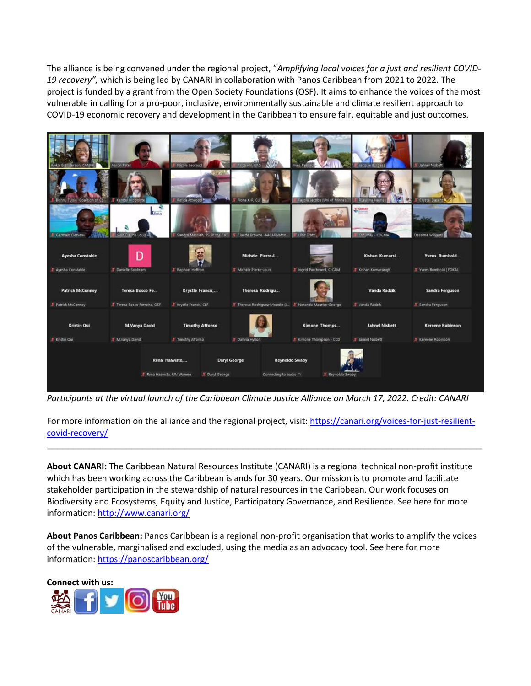The alliance is being convened under the regional project, "*Amplifying local voices for a just and resilient COVID-19 recovery",* which is being led by CANARI in collaboration with Panos Caribbean from 2021 to 2022. The project is funded by a grant from the Open Society Foundations (OSF). It aims to enhance the voices of the most vulnerable in calling for a pro-poor, inclusive, environmentally sustainable and climate resilient approach to COVID-19 economic recovery and development in the Caribbean to ensure fair, equitable and just outcomes.



*Participants at the virtual launch of the Caribbean Climate Justice Alliance on March 17, 2022. Credit: CANARI*

For more information on the alliance and the regional project, visit[: https://canari.org/voices-for-just-resilient](https://canari.org/voices-for-just-resilient-covid-recovery/)[covid-recovery/](https://canari.org/voices-for-just-resilient-covid-recovery/)

\_\_\_\_\_\_\_\_\_\_\_\_\_\_\_\_\_\_\_\_\_\_\_\_\_\_\_\_\_\_\_\_\_\_\_\_\_\_\_\_\_\_\_\_\_\_\_\_\_\_\_\_\_\_\_\_\_\_\_\_\_\_\_\_\_\_\_\_\_\_\_\_\_\_\_\_\_\_\_\_\_\_

**About CANARI:** The Caribbean Natural Resources Institute (CANARI) is a regional technical non-profit institute which has been working across the Caribbean islands for 30 years. Our mission is to promote and facilitate stakeholder participation in the stewardship of natural resources in the Caribbean. Our work focuses on Biodiversity and Ecosystems, Equity and Justice, Participatory Governance, and Resilience. See here for more information: <http://www.canari.org/>

**About Panos Caribbean:** Panos Caribbean is a regional non-profit organisation that works to amplify the voices of the vulnerable, marginalised and excluded, using the media as an advocacy tool. See here for more information[: https://panoscaribbean.org/](https://panoscaribbean.org/)